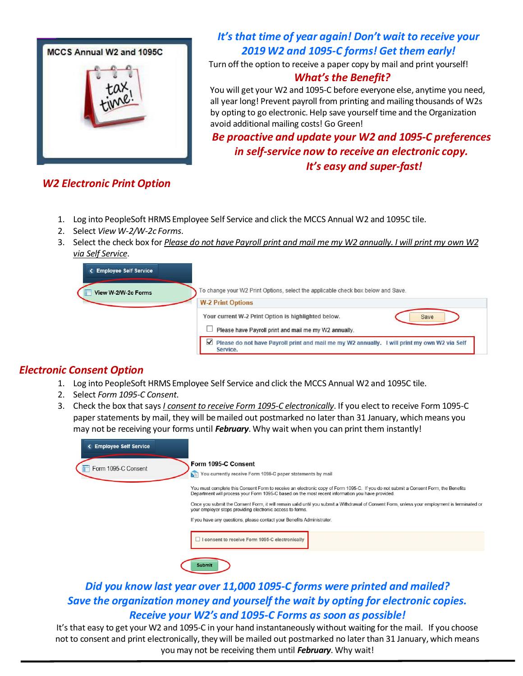

# *It's that time of year again! Don't wait to receive your 2019 W2 and 1095-C forms! Get them early!*

Turn off the option to receive a paper copy by mail and print yourself!

#### *What's the Benefit?*

You will get your W2 and 1095-C before everyone else, anytime you need, all year long! Prevent payroll from printing and mailing thousands of W2s by opting to go electronic. Help save yourself time and the Organization avoid additional mailing costs! Go Green!

*Be proactive and update your W2 and 1095-C preferences in self-service now to receive an electronic copy. It's easy and super-fast!*

- *W2 Electronic Print Option*
	- 1. Log into PeopleSoft HRMS Employee Self Service and click the MCCS Annual W2 and 1095C tile.
	- 2. Select *View W-2/W-2c Forms*.
	- 3. Select the check box for Please do not have Payroll print and mail me my W2 annually. I will print my own W2 *via Self Service*.

| <b>&lt; Employee Self Service</b><br>View W-2/W-2c Forms | To change your W2 Print Options, select the applicable check box below and Save.                                                 |  |  |  |  |  |
|----------------------------------------------------------|----------------------------------------------------------------------------------------------------------------------------------|--|--|--|--|--|
|                                                          | <b>W-2 Print Options</b>                                                                                                         |  |  |  |  |  |
|                                                          | Your current W-2 Print Option is highlighted below.<br>Save                                                                      |  |  |  |  |  |
|                                                          | Please have Payroll print and mail me my W2 annually.                                                                            |  |  |  |  |  |
|                                                          | $\blacktriangledown$<br>Please do not have Payroll print and mail me my W2 annually. I will print my own W2 via Self<br>Service. |  |  |  |  |  |

### *Electronic Consent Option*

- 1. Log into PeopleSoft HRMS Employee Self Service and click the MCCS Annual W2 and 1095C tile.
- 2. Select *Form 1095-C Consent*.
- 3. Check the box thatsays *I consent to receive Form 1095-C electronically*. If you elect to receive Form 1095-C paper statements by mail, they will be mailed out postmarked no later than 31 January, which means you may not be receiving your forms until *February*. Why wait when you can print them instantly!

| < Employee Self Service |                                                                                                                                                                                                                                         |
|-------------------------|-----------------------------------------------------------------------------------------------------------------------------------------------------------------------------------------------------------------------------------------|
| Form 1095-C Consent     | Form 1095-C Consent<br>You currently receive Form 1095-C paper statements by mail<br>泗                                                                                                                                                  |
|                         | You must complete this Consent Form to receive an electronic copy of Form 1095-C. If you do not submit a Consent Form, the Benefits<br>Department will process your Form 1095-C based on the most recent information you have provided. |
|                         | Once you submit the Consent Form, it will remain valid until you submit a Withdrawal of Consent Form, unless your employment is terminated or<br>your employer stops providing electronic access to forms.                              |
|                         | If you have any questions, please contact your Benefits Administrator.                                                                                                                                                                  |
|                         | I consent to receive Form 1095-C electronically                                                                                                                                                                                         |
|                         | <b>Submit</b>                                                                                                                                                                                                                           |

## *Did you know last year over 11,000 1095-C forms were printed and mailed? Save the organization money and yourself the wait by opting for electronic copies. Receive your W2's and 1095-C Forms as soon as possible!*

It's that easy to get your W2 and 1095-C in your hand instantaneously without waiting for the mail. If you choose not to consent and print electronically, they will be mailed out postmarked no later than 31 January, which means you may not be receiving them until *February*. Why wait!